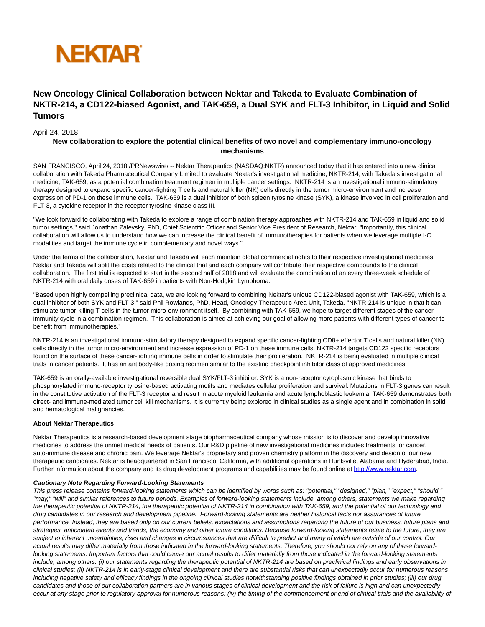

# **New Oncology Clinical Collaboration between Nektar and Takeda to Evaluate Combination of NKTR-214, a CD122-biased Agonist, and TAK-659, a Dual SYK and FLT-3 Inhibitor, in Liquid and Solid Tumors**

## April 24, 2018

## **New collaboration to explore the potential clinical benefits of two novel and complementary immuno-oncology mechanisms**

SAN FRANCISCO, April 24, 2018 /PRNewswire/ -- Nektar Therapeutics (NASDAQ:NKTR) announced today that it has entered into a new clinical collaboration with Takeda Pharmaceutical Company Limited to evaluate Nektar's investigational medicine, NKTR-214, with Takeda's investigational medicine, TAK-659, as a potential combination treatment regimen in multiple cancer settings. NKTR-214 is an investigational immuno-stimulatory therapy designed to expand specific cancer-fighting T cells and natural killer (NK) cells directly in the tumor micro-environment and increase expression of PD-1 on these immune cells. TAK-659 is a dual inhibitor of both spleen tyrosine kinase (SYK), a kinase involved in cell proliferation and FLT-3, a cytokine receptor in the receptor tyrosine kinase class III.

"We look forward to collaborating with Takeda to explore a range of combination therapy approaches with NKTR-214 and TAK-659 in liquid and solid tumor settings," said Jonathan Zalevsky, PhD, Chief Scientific Officer and Senior Vice President of Research, Nektar. "Importantly, this clinical collaboration will allow us to understand how we can increase the clinical benefit of immunotherapies for patients when we leverage multiple I-O modalities and target the immune cycle in complementary and novel ways."

Under the terms of the collaboration, Nektar and Takeda will each maintain global commercial rights to their respective investigational medicines. Nektar and Takeda will split the costs related to the clinical trial and each company will contribute their respective compounds to the clinical collaboration. The first trial is expected to start in the second half of 2018 and will evaluate the combination of an every three-week schedule of NKTR-214 with oral daily doses of TAK-659 in patients with Non-Hodgkin Lymphoma.

"Based upon highly compelling preclinical data, we are looking forward to combining Nektar's unique CD122-biased agonist with TAK-659, which is a dual inhibitor of both SYK and FLT-3," said Phil Rowlands, PhD, Head, Oncology Therapeutic Area Unit, Takeda. "NKTR-214 is unique in that it can stimulate tumor-killing T-cells in the tumor micro-environment itself. By combining with TAK-659, we hope to target different stages of the cancer immunity cycle in a combination regimen. This collaboration is aimed at achieving our goal of allowing more patients with different types of cancer to benefit from immunotherapies."

NKTR-214 is an investigational immuno-stimulatory therapy designed to expand specific cancer-fighting CD8+ effector T cells and natural killer (NK) cells directly in the tumor micro-environment and increase expression of PD-1 on these immune cells. NKTR-214 targets CD122 specific receptors found on the surface of these cancer-fighting immune cells in order to stimulate their proliferation. NKTR-214 is being evaluated in multiple clinical trials in cancer patients. It has an antibody-like dosing regimen similar to the existing checkpoint inhibitor class of approved medicines.

TAK-659 is an orally-available investigational reversible dual SYK/FLT-3 inhibitor. SYK is a non-receptor cytoplasmic kinase that binds to phosphorylated immuno-receptor tyrosine-based activating motifs and mediates cellular proliferation and survival. Mutations in FLT-3 genes can result in the constitutive activation of the FLT-3 receptor and result in acute myeloid leukemia and acute lymphoblastic leukemia. TAK-659 demonstrates both direct- and immune-mediated tumor cell kill mechanisms. It is currently being explored in clinical studies as a single agent and in combination in solid and hematological malignancies.

### **About Nektar Therapeutics**

Nektar Therapeutics is a research-based development stage biopharmaceutical company whose mission is to discover and develop innovative medicines to address the unmet medical needs of patients. Our R&D pipeline of new investigational medicines includes treatments for cancer, auto-immune disease and chronic pain. We leverage Nektar's proprietary and proven chemistry platform in the discovery and design of our new therapeutic candidates. Nektar is headquartered in San Francisco, California, with additional operations in Huntsville, Alabama and Hyderabad, India. Further information about the company and its drug development programs and capabilities may be found online at [http://www.nektar.com.](http://www.nektar.com/)

#### **Cautionary Note Regarding Forward-Looking Statements**

This press release contains forward-looking statements which can be identified by words such as: "potential," "designed," "plan," "expect," "should," "may," "will" and similar references to future periods. Examples of forward-looking statements include, among others, statements we make regarding the therapeutic potential of NKTR-214, the therapeutic potential of NKTR-214 in combination with TAK-659, and the potential of our technology and drug candidates in our research and development pipeline. Forward-looking statements are neither historical facts nor assurances of future performance. Instead, they are based only on our current beliefs, expectations and assumptions regarding the future of our business, future plans and strategies, anticipated events and trends, the economy and other future conditions. Because forward-looking statements relate to the future, they are subject to inherent uncertainties, risks and changes in circumstances that are difficult to predict and many of which are outside of our control. Our actual results may differ materially from those indicated in the forward-looking statements. Therefore, you should not rely on any of these forwardlooking statements. Important factors that could cause our actual results to differ materially from those indicated in the forward-looking statements include, among others: (i) our statements regarding the therapeutic potential of NKTR-214 are based on preclinical findings and early observations in clinical studies; (ii) NKTR-214 is in early-stage clinical development and there are substantial risks that can unexpectedly occur for numerous reasons including negative safety and efficacy findings in the ongoing clinical studies notwithstanding positive findings obtained in prior studies; (iii) our drug candidates and those of our collaboration partners are in various stages of clinical development and the risk of failure is high and can unexpectedly occur at any stage prior to regulatory approval for numerous reasons; (iv) the timing of the commencement or end of clinical trials and the availability of